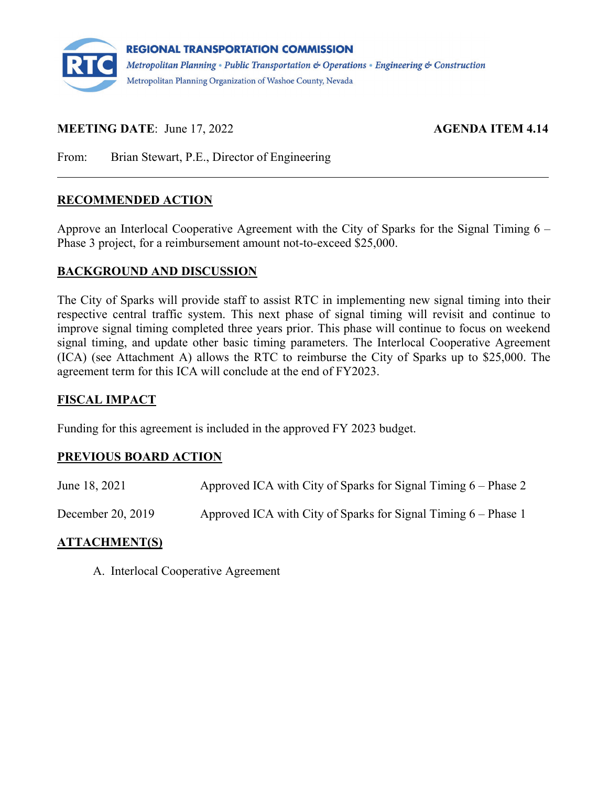

## **MEETING DATE:** June 17, 2022 **AGENDA ITEM 4.14**

From: Brian Stewart, P.E., Director of Engineering

### **RECOMMENDED ACTION**

Approve an Interlocal Cooperative Agreement with the City of Sparks for the Signal Timing 6 – Phase 3 project, for a reimbursement amount not-to-exceed \$25,000.

### **BACKGROUND AND DISCUSSION**

The City of Sparks will provide staff to assist RTC in implementing new signal timing into their respective central traffic system. This next phase of signal timing will revisit and continue to improve signal timing completed three years prior. This phase will continue to focus on weekend signal timing, and update other basic timing parameters. The Interlocal Cooperative Agreement (ICA) (see Attachment A) allows the RTC to reimburse the City of Sparks up to \$25,000. The agreement term for this ICA will conclude at the end of FY2023.

### **FISCAL IMPACT**

Funding for this agreement is included in the approved FY 2023 budget.

### **PREVIOUS BOARD ACTION**

| June 18, 2021     | Approved ICA with City of Sparks for Signal Timing $6$ – Phase 2 |
|-------------------|------------------------------------------------------------------|
| December 20, 2019 | Approved ICA with City of Sparks for Signal Timing $6$ – Phase 1 |

### **ATTACHMENT(S)**

A. Interlocal Cooperative Agreement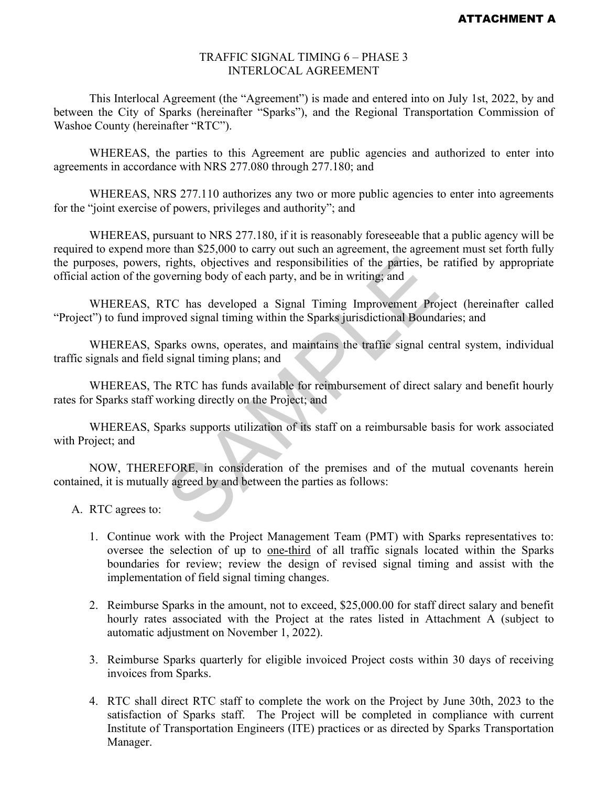#### TRAFFIC SIGNAL TIMING 6 – PHASE 3 INTERLOCAL AGREEMENT

This Interlocal Agreement (the "Agreement") is made and entered into on July 1st, 2022, by and between the City of Sparks (hereinafter "Sparks"), and the Regional Transportation Commission of Washoe County (hereinafter "RTC").

WHEREAS, the parties to this Agreement are public agencies and authorized to enter into agreements in accordance with NRS 277.080 through 277.180; and

WHEREAS, NRS 277.110 authorizes any two or more public agencies to enter into agreements for the "joint exercise of powers, privileges and authority"; and

WHEREAS, pursuant to NRS 277.180, if it is reasonably foreseeable that a public agency will be required to expend more than \$25,000 to carry out such an agreement, the agreement must set forth fully the purposes, powers, rights, objectives and responsibilities of the parties, be ratified by appropriate official action of the governing body of each party, and be in writing; and rights, objectives and responsibilities of the parties, be<br>verning body of each party, and be in writing; and<br>TC has developed a Signal Timing Improvement Pro<br>oved signal timing within the Sparks jurisdictional Bound<br>parks

WHEREAS, RTC has developed a Signal Timing Improvement Project (hereinafter called "Project") to fund improved signal timing within the Sparks jurisdictional Boundaries; and

WHEREAS, Sparks owns, operates, and maintains the traffic signal central system, individual traffic signals and field signal timing plans; and

WHEREAS, The RTC has funds available for reimbursement of direct salary and benefit hourly rates for Sparks staff working directly on the Project; and

WHEREAS, Sparks supports utilization of its staff on a reimbursable basis for work associated with Project; and

NOW, THEREFORE, in consideration of the premises and of the mutual covenants herein contained, it is mutually agreed by and between the parties as follows:

- A. RTC agrees to:
	- 1. Continue work with the Project Management Team (PMT) with Sparks representatives to: oversee the selection of up to one-third of all traffic signals located within the Sparks boundaries for review; review the design of revised signal timing and assist with the implementation of field signal timing changes.
	- 2. Reimburse Sparks in the amount, not to exceed, \$25,000.00 for staff direct salary and benefit hourly rates associated with the Project at the rates listed in Attachment A (subject to automatic adjustment on November 1, 2022).
	- 3. Reimburse Sparks quarterly for eligible invoiced Project costs within 30 days of receiving invoices from Sparks.
	- 4. RTC shall direct RTC staff to complete the work on the Project by June 30th, 2023 to the satisfaction of Sparks staff. The Project will be completed in compliance with current Institute of Transportation Engineers (ITE) practices or as directed by Sparks Transportation Manager.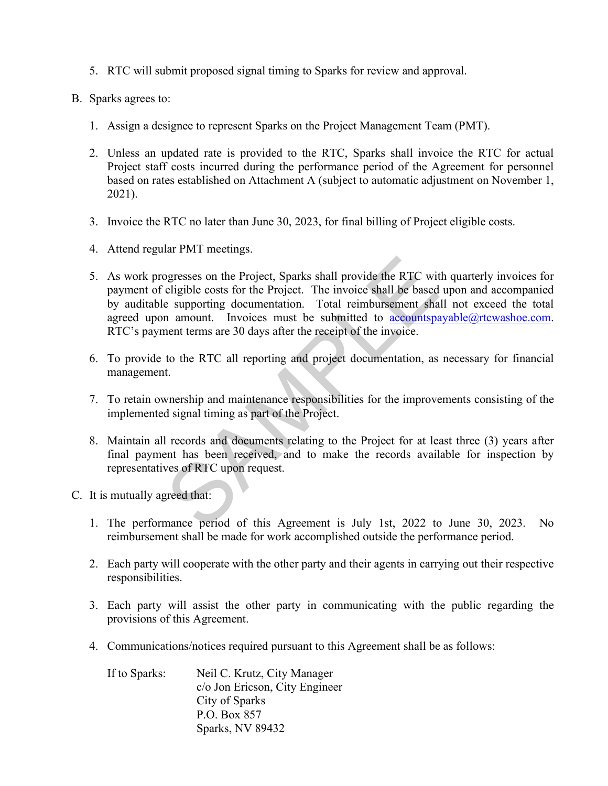- 5. RTC will submit proposed signal timing to Sparks for review and approval.
- B. Sparks agrees to:
	- 1. Assign a designee to represent Sparks on the Project Management Team (PMT).
	- 2. Unless an updated rate is provided to the RTC, Sparks shall invoice the RTC for actual Project staff costs incurred during the performance period of the Agreement for personnel based on rates established on Attachment A (subject to automatic adjustment on November 1, 2021).
	- 3. Invoice the RTC no later than June 30, 2023, for final billing of Project eligible costs.
	- 4. Attend regular PMT meetings.
	- 5. As work progresses on the Project, Sparks shall provide the RTC with quarterly invoices for payment of eligible costs for the Project. The invoice shall be based upon and accompanied by auditable supporting documentation. Total reimbursement shall not exceed the total agreed upon amount. Invoices must be submitted to  $accountspayable@rtcwashoe.com$ . RTC's payment terms are 30 days after the receipt of the invoice. be provide the RTC with example the RTC with example the RTC with eligible costs for the Project. The invoice shall be based a supporting documentation. Total reimbursement shan amount. Invoices must be submitted to <u>accou</u>
	- 6. To provide to the RTC all reporting and project documentation, as necessary for financial management.
	- 7. To retain ownership and maintenance responsibilities for the improvements consisting of the implemented signal timing as part of the Project.
	- 8. Maintain all records and documents relating to the Project for at least three (3) years after final payment has been received, and to make the records available for inspection by representatives of RTC upon request.
- C. It is mutually agreed that:
	- 1. The performance period of this Agreement is July 1st, 2022 to June 30, 2023. No reimbursement shall be made for work accomplished outside the performance period.
	- 2. Each party will cooperate with the other party and their agents in carrying out their respective responsibilities.
	- 3. Each party will assist the other party in communicating with the public regarding the provisions of this Agreement.
	- 4. Communications/notices required pursuant to this Agreement shall be as follows:

| If to Sparks: | Neil C. Krutz, City Manager    |
|---------------|--------------------------------|
|               | c/o Jon Ericson, City Engineer |
|               | City of Sparks                 |
|               | P.O. Box 857                   |
|               | Sparks, NV 89432               |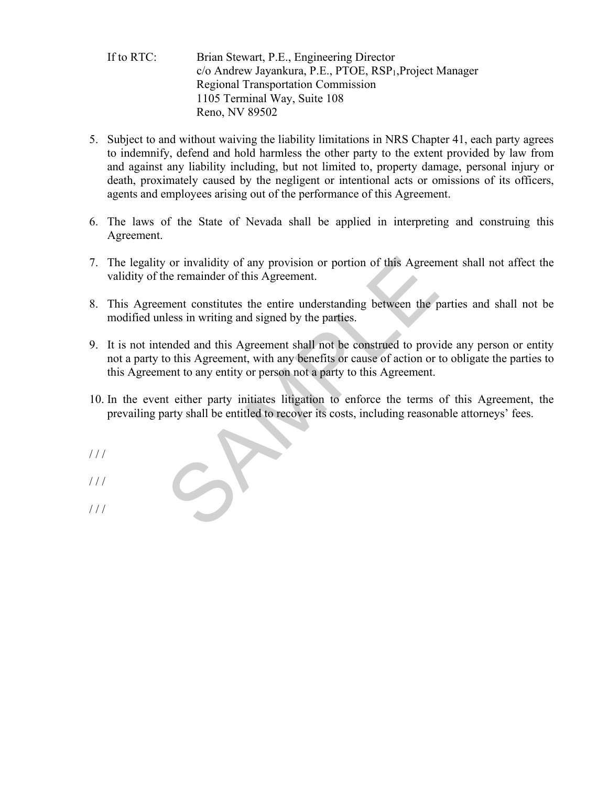### If to RTC: Brian Stewart, P.E., Engineering Director c/o Andrew Jayankura, P.E., PTOE, RSP<sub>1</sub>, Project Manager Regional Transportation Commission 1105 Terminal Way, Suite 108 Reno, NV 89502

- 5. Subject to and without waiving the liability limitations in NRS Chapter 41, each party agrees to indemnify, defend and hold harmless the other party to the extent provided by law from and against any liability including, but not limited to, property damage, personal injury or death, proximately caused by the negligent or intentional acts or omissions of its officers, agents and employees arising out of the performance of this Agreement.
- 6. The laws of the State of Nevada shall be applied in interpreting and construing this Agreement.
- 7. The legality or invalidity of any provision or portion of this Agreement shall not affect the validity of the remainder of this Agreement.
- 8. This Agreement constitutes the entire understanding between the parties and shall not be modified unless in writing and signed by the parties.
- 9. It is not intended and this Agreement shall not be construed to provide any person or entity not a party to this Agreement, with any benefits or cause of action or to obligate the parties to this Agreement to any entity or person not a party to this Agreement. The remainder of this Agreement.<br>
The remainder of this Agreement.<br>
The remainder of this Agreement.<br>
Internal constitutes the entire understanding between the pless in writing and signed by the parties.<br>
Perfection of the
- 10. In the event either party initiates litigation to enforce the terms of this Agreement, the prevailing party shall be entitled to recover its costs, including reasonable attorneys' fees.
- / / /
- $1/1$
- $1/1$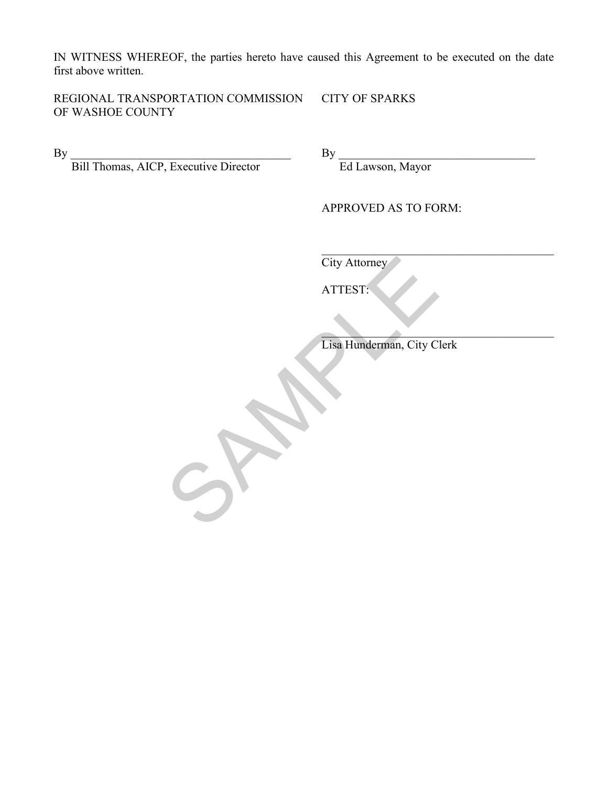IN WITNESS WHEREOF, the parties hereto have caused this Agreement to be executed on the date first above written.

REGIONAL TRANSPORTATION COMMISSION CITY OF SPARKS OF WASHOE COUNTY

By \_\_\_\_\_\_\_\_\_\_\_\_\_\_\_\_\_\_\_\_\_\_\_\_\_\_\_\_\_\_\_\_\_\_\_\_\_ By \_\_\_\_\_\_\_\_\_\_\_\_\_\_\_\_\_\_\_\_\_\_\_\_\_\_\_\_\_\_\_\_\_

Bill Thomas, AICP, Executive Director Ed Lawson, Mayor

APPROVED AS TO FORM:

City Attorney

ATTEST:

 $\mathcal{L}_\mathcal{L} = \mathcal{L}_\mathcal{L}$  Lisa Hunderman, City Clerk City Attorney<br>ATTEST:<br>Lisa Hunderman, City C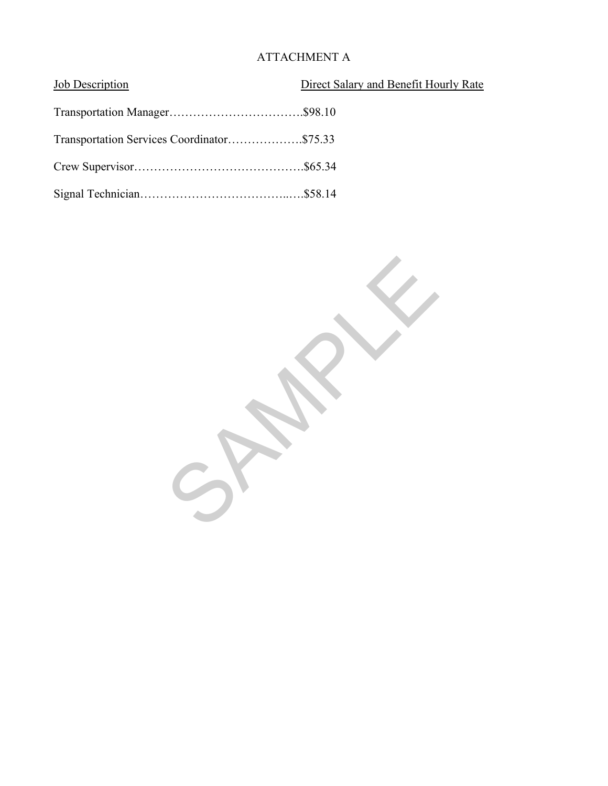# ATTACHMENT A

| Job Description                            | Direct Salary and Benefit Hourly Rate |
|--------------------------------------------|---------------------------------------|
|                                            |                                       |
| Transportation Services Coordinator\$75.33 |                                       |
|                                            |                                       |
|                                            |                                       |

SPARY